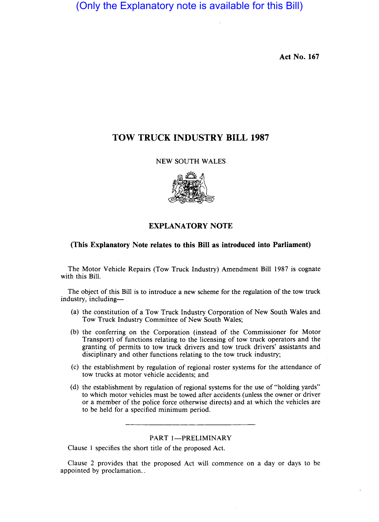Act No. 167

# TOW TRUCK INDUSTRY BILL 1987

NEW SOUTH WALES



## EXPLANATORY NOTE

### (This Explanatory Note relates to this Bill as introduced into Parliament)

The Motor Vehicle Repairs (Tow Truck Industry) Amendment Bill 1987 is cognate with this Bill.

The object of this Bill is to introduce a new scheme for the regulation of the tow truck industry, including-

- (a) the constitution of a Tow Truck Industry Corporation of New South Wales and Tow Truck Industry Committee of New South Wales;
- (b) the conferring on the Corporation (instead of the Commissioner for Motor Transport) of functions relating to the licensing of tow truck operators and the granting of permits to tow truck drivers and tow truck drivers' assistants and disciplinary and other functions relating to the tow truck industry;
- (c) the establishment by regulation of regional roster systems for the attendance of tow trucks at motor vehicle accidents; and
- (d) the establishment by regulation of regional systems for the use of "holding yards" to which motor vehicles must be towed after accidents (unless the owner or driver or a member of the police force otherwise directs) and at which the vehicles are to be held for a specified minimum period.

#### PART 1-PRELIMINARY

Clause 1 specifies the short title of the proposed Act.

Clause 2 provides that the proposed Act will commence on a day or days to be appointed by proclamation...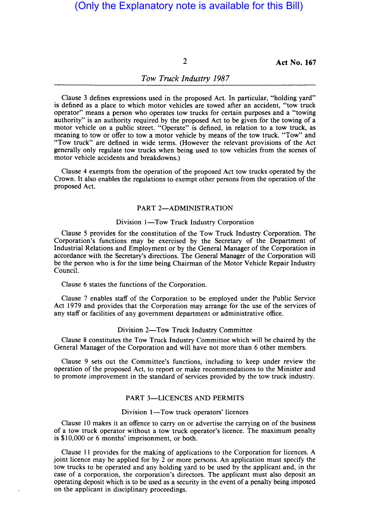2 Act No. **167** 

## *Tow Truck Industry 1987*

Clause 3 defines expressions used in the proposed Act. In particular, "holding yard" is defined as a place to which motor vehicles are towed after an accident, "tow truck operator" means a person who operates tow trucks for certain purposes and a "towing authority" is an authority required by the proposed Act to be given for the towing of a motor vehicle on a public street. "Operate" is defined, in relation to a tow truck, as meaning to tow or offer to tow a motor vehicle by means of the tow truck. "Tow" and "Tow truck" are defined in wide terms. (However the relevant provisions of the Act generally only regulate tow trucks when being used to tow vehicles from the scenes of motor vehicle accidents and breakdowns.)

Clause 4 exempts from the operation of the proposed Act tow trucks operated by the Crown. It also enables the regulations to exempt other persons from the operation of the proposed Act.

#### PART 2-ADMINISTRATION

#### Division 1-Tow Truck Industry Corporation

Clause 5 provides for the constitution of the Tow Truck Industry Corporation. The Corporation's functions may be exercised by the Secretary of the Department of Industrial Relations and Employment or by the General Manager of the Corporation in accordance with the Secretary's directions. The General Manager of the Corporation will be the person who is for the time being Chairman of the Motor Vehicle Repair Industry Council.

Clause 6 states the functions of the Corporation.

Clause 7 enables staff of the Corporation to be employed under the Public Service Act 1979 and provides that the Corporation may arrange for the use of the services of any staff or facilities of any government department or administrative office.

### Division 2-Tow Truck Industry Committee

Clause 8 constitutes the Tow Truck Industry Committee which will be chaired by the General Manager of the Corporation and will have not more than 6 other members.

Clause 9 sets out the Committee's functions, including to keep under review the operation of the proposed Act, to report or make recommendations to the Minister and to promote improvement in the standard of services provided by the tow truck industry.

#### PART 3-LICENCES AND PERMITS

#### Division 1—Tow truck operators' licences

Clause 10 makes it an offence to carry on or advertise the carrying on of the business of a tow truck operator without a tow truck operator's licence. The maximum penalty is \$10,000 or 6 months' imprisonment, or both.

Clause 11 provides for the making of applications to the Corporation for licences. A joint licence may be applied for by 2 or more persons. An application must specify the tow trucks to be operated and any holding yard to be used by the applicant and, in the case of a corporation, the corporation's directors. The applicant must also deposit an operating deposit which is to be used as a security in the event of a penalty being imposed on the applicant in disciplinary proceedings.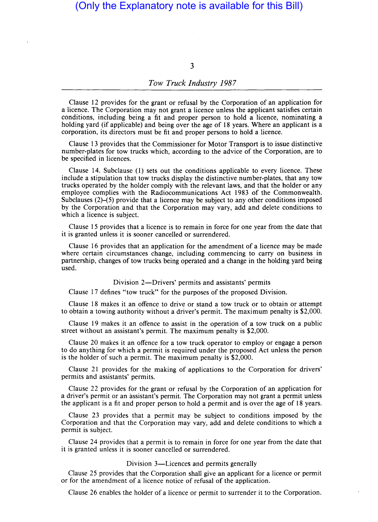3

#### *Tow Truck Industry 1987*

Clause 12 provides for the grant or refusal by the Corporation of an application for a licence. The Corporation may not grant a licence unless the applicant satisfies certain conditions, including being a fit and proper person to hold a licence, nominating a holding yard (if applicable) and being over the age of 18 years. Where an applicant is a corporation, its directors must be fit and proper persons to hold a licence.

Clause 13 provides that the Commissioner for Motor Transport is to issue distinctive number-plates for tow trucks which, according to the advice of the Corporation, are to be specified in licences.

Clause 14. Subclause (l) sets out the conditions applicable to every licence. These include a stipulation that tow trucks display the distinctive number-plates, that any tow trucks operated by the holder comply with the relevant laws, and that the holder or any employee complies with the Radiocommunications Act 1983 of the Commonwealth. Subclauses  $(2)$ –(5) provide that a licence may be subject to any other conditions imposed by the Corporation and that the Corporation may vary, add and delete conditions to which a licence is subject.

Clause 15 provides that a licence is to remain in force for one year from the date that it is granted unless it is sooner cancelled or surrendered.

Clause 16 provides that an application for the amendment of a licence may be made where certain circumstances change, including commencing to carry on business in partnership, changes of tow trucks being operated and a change in the holding yard being used.

Division 2-Drivers' permits and assistants' permits

Clause 17 defines "tow truck" for the purposes of the proposed Division.

Clause 18 makes it an offence to drive or stand a tow truck or to obtain or attempt to obtain a towing authority without a driver's permit. The maximum penalty is \$2,000.

Clause 19 makes it an offence to assist in the operation of a tow truck on a public street without an assistant's permit. The maximum penalty is \$2,000.

Clause 20 makes it an offence for a tow truck operator to employ or engage a person to do anything for which a permit is required under the proposed Act unless the person is the holder of such a permit. The maximum penalty is \$2,000.

Clause 21 provides for the making of applications to the Corporation for drivers' permits and assistants' permits.

Clause 22 provides for the grant or refusal by the Corporation of an application for a driver's permit or an assistant's permit. The Corporation may not grant a permit unless the applicant is a fit and proper person to hold a permit and is over the age of 18 years.

Clause 23 provides that a permit may be subject to conditions imposed by the Corporation and that the Corporation may vary, add and delete conditions to which a permit is subject.

Clause 24 provides that a permit is to remain in force for one year from the date that it is granted unless it is sooner cancelled or surrendered.

### Division 3-Licences and permits generally

Clause 25 provides that the Corporation shall give an applicant for a licence or permit or for the amendment of a licence notice of refusal of the application.

Clause 26 enables the holder of a licence or permit to surrender it to the Corporation.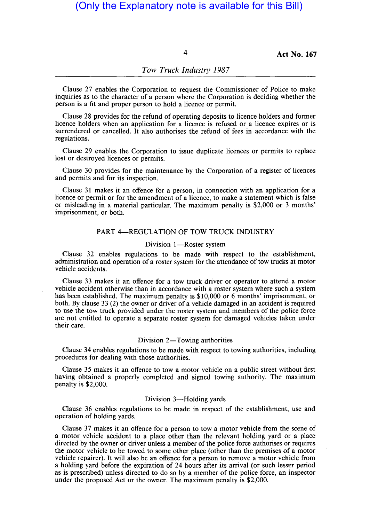4 **Act No. 167** 

## *Tow Truck Industry 1987*

Clause 27 enables the Corporation to request the Commissioner of Police to make inquiries as to the character of a person where the Corporation is deciding whether the person is a fit and proper person to hold a licence or permit.

Clause 28 provides for the refund of operating deposits to licence holders and former licence holders when an application for a licence is refused or a licence expires or is surrendered or cancelled. It also authorises the refund of fees in accordance with the regulations.

Clause 29 enables the Corporation to issue duplicate licences or permits to replace lost or destroyed licences or permits.

Clause 30 provides for the maintenance by the Corporation of a register of licences and permits and for its inspection.

Clause 31 makes it an offence for a person, in connection with an application for a licence or permit or for the amendment of a licence, to make a statement which is false or misleading in a material particular. The maximum penalty is \$2,000 or 3 months' imprisonment, or both.

#### PART 4-REGULATION OF TOW TRUCK INDUSTRY

#### Division 1-Roster system

Clause 32 enables regulations to be made with respect to the establishment, administration and operation of a roster system for the attendance of tow trucks at motor vehicle accidents.

Clause 33 makes it an offence for a tow truck driver or operator to attend a motor vehicle accident otherwise than in accordance with a roster system where such a system has been established. The maximum penalty is \$10,000 or 6 months' imprisonment, or both. By clause 33 (2) the owner or driver of a vehicle damaged in an accident is required to use the tow truck provided under the roster system and members of the police force are not entitled to operate a separate roster system for damaged vehicles taken under their care.

#### Division 2-Towing authorities

Clause 34 enables regulations to be made with respect to towing authorities, including procedures for dealing with those authorities.

Clause 35 makes it an offence to tow a motor vehicle on a public street without first having obtained a properly completed and signed towing authority. The maximum penalty is \$2,000.

## Division 3-Holding yards

Clause 36 enables regulations to be made in respect of the establishment, use and operation of holding yards.

Clause 37 makes it an offence for a person to tow a motor vehicle from the scene of a motor vehicle accident to a place other than the relevant holding yard or a place directed by the owner or driver unless a member of the police force authorises or requires the motor vehicle to be towed to some other place (other than the premises of a motor vehicle repairer). It will also be an offence for a person to remove a motor vehicle from a holding yard before the expiration of 24 hours after its arrival (or such lesser period as is prescribed) unless directed to do so by a member of the police force, an inspector under the proposed Act or the owner. The maximum penalty is \$2,000.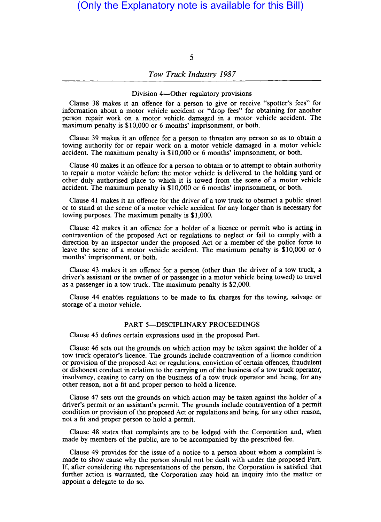5

## *Tow Truck Industry 1987*

#### Division 4-Other regulatory provisions

Clause 38 makes it an offence for a person to give or receive "spotter's fees" for information about a motor vehicle accident or "drop fees" for obtaining for another person repair work on a motor vehicle damaged in a motor vehicle accident. The maximum penalty is \$10,000 or 6 months' imprisonment, or both.

Clause 39 makes it an offence for a person to threaten any person so as to obtain a towing authority for or repair work on a motor vehicle damaged in a motor vehicle accident. The maximum penalty is \$10,000 or 6 months' imprisonment, or both.

Clause 40 makes it an offence for a person to obtain or to attempt to obtain authority to repair a motor vehicle before the motor vehicle is delivered to the holding yard or other duly authorised place to which it is towed from the scene of a motor vehicle accident. The maximum penalty is \$10,000 or 6 months' imprisonment, or both.

Clause 41 makes it an offence for the driver of a tow truck to obstruct a public street or to stand at the scene of a motor vehicle accident for any longer than is necessary for towing purposes. The maximum penalty is \$1,000.

Clause 42 makes it an offence for a holder of a licence or permit who is acting in contravention of the proposed Act or regulations to neglect or fail to comply with a direction by an inspector under the proposed Act or a member of the police force to leave the scene of a motor vehicle accident. The maximum penalty is \$10,000 or 6 months' imprisonment, or both.

Clause 43 makes it an offence for a person (other than the driver of a tow truck, a driver's assistant or the owner of or passenger in a motor vehicle being towed) to travel as a passenger in a tow truck. The maximum penalty is \$2,000.

Clause 44 enables regulations to be made to fix charges for the towing, salvage or storage of a motor vehicle.

#### PART 5-DISCIPLINARY PROCEEDINGS

Clause 45 defines certain expressions used in the proposed Part.

Clause 46 sets out the grounds on which action may be taken against the holder of a tow truck operator's licence. The grounds include contravention of a licence condition or provision of the proposed Act or regulations, conviction of certain offences, fraudulent or dishonest conduct in relation to the carrying on of the business of a tow truck operator, insolvency, ceasing to carry on the business of a tow truck operator and being, for any other reason, not a fit and proper person to hold a licence.

Clause 47 sets out the grounds on which action may be taken against the holder of a driver's permit or an assistant's permit. The grounds include contravention of a permit condition or provision of the proposed Act or regulations and being, for any other reason, not a fit and proper person to hold a permit.

Clause 48 states that complaints are to be lodged with the Corporation and, when made by members of the public, are to be accompanied by the prescribed fee.

Clause 49 provides for the issue of a notice to a person about whom a complaint is made to show cause why the person should not be dealt with under the proposed Part. If, after considering the representations of the person, the Corporation is satisfied that further action is warranted, the Corporation may hold an inquiry into the matter or appoint a delegate to do so.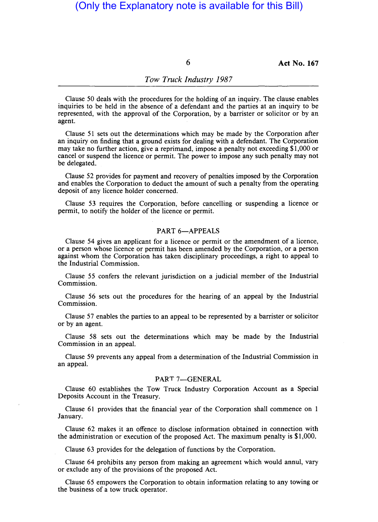6 **Act No. 167** 

#### *Tow Truck Industry 1987*

Clause 50 deals with the procedures for the holding of an inquiry. The clause enables inquiries to be held in the absence of a defendant and the parties at an inquiry to be represented, with the approval of the Corporation, by a barrister or solicitor or by an agent.

Clause 51 sets out the determinations which may be made by the Corporation after an inquiry on finding that a ground exists for dealing with a defendant. The Corporation may take no further action, give a reprimand, impose a penalty not exceeding \$1,000 or cancel or suspend the licence or permit. The power to impose any such penalty may not be delegated.

Clause 52 provides for payment and recovery of penalties imposed by the Corporation and enables the Corporation to deduct the amount of such a penalty from the operating deposit of any licence holder concerned.

Clause 53 requires the Corporation, before cancelling or suspending a licence or permit, to notify the holder of the licence or permit.

#### PART 6-APPEALS

Clause 54 gives an applicant for a licence or permit or the amendment of a licence, or a person whose licence or permit has been amended by the Corporation, or a person against whom the Corporation has taken disciplinary proceedings, a right to appeal to the Industrial Commission.

Clause 55 confers the relevant jurisdiction on a judicial member of the Industrial Commission.

Clause 56 sets out the procedures for the hearing of an appeal by the Industrial Commission.

Clause 57 enables the parties to an appeal to be represented by a barrister or solicitor or by an agent.

Clause 58 sets out the determinations which may be made by the Industrial Commission in an appeal.

Clause 59 prevents any appeal from a determination of the Industrial Commission in an appeal.

#### PART 7-GENERAL

Clause 60 establishes the Tow Truck Industry Corporation Account as a Special Deposits Account in the Treasury.

Clause 61 provides that the financial year of the Corporation shall commence on 1 January.

Clause 62 makes it an offence to disclose information obtained in connection with the administration or execution of the proposed Act. The maximum penalty is \$1,000.

Clause 63 provides for the delegation of functions by the Corporation.

Clause 64 prohibits any person from making an agreement which would annul, vary or exclude any of the provisions of the proposed Act.

Clause 65 empowers the Corporation to obtain information relating to any towing or the business of a tow truck operator.